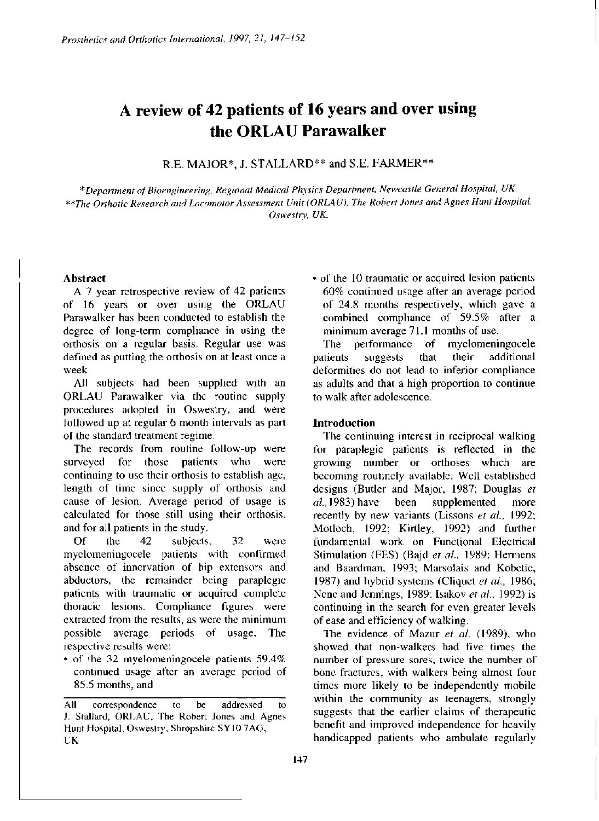# **A review of 42 patients of 16 years and over using the ORLAU Parawalker**

R.E. MAJOR\*, J. STALLARD\*\* and S.E. FARMER\*\*

*\*Department of Bioengineering, Regional Medical Physics Department, Newcastle General Hospital, UK. \*\*The Orthotic Research and Locomotor Assessment Unit (ORLAU), The Robert Jones and Agnes Hunt Hospital, Oswestry, UK.* 

# **Abstract**

A 7 year retrospective review of 42 patients of 16 years or over using the ORLAU Parawalker has been conducted to establish the degree of long-term compliance in using the orthosis on a regular basis. Regular use was defined as putting the orthosis on at least once a week.

All subjects had been supplied with an ORLAU Parawalker via the routine supply procedures adopted in Oswestry, and were followed up at regular 6 month intervals as part of the standard treatment regime.

The records from routine follow-up were surveyed for those patients who were continuing to use their orthosis to establish age, length of time since supply of orthosis and cause of lesion. Average period of usage is calculated for those still using their orthosis, and for all patients in the study.

Of the 42 subjects, 32 were myelomeningocele patients with confirmed absence of innervation of hip extensors and abductors, the remainder being paraplegic patients with traumatic or acquired complete thoracic lesions. Compliance figures were extracted from the results, as were the minimum possible average periods of usage. The respective results were:

• of the 32 myelomeningocele patients 59.4% continued usage after an average period of 85.5 months, and

• of the 10 traumatic or acquired lesion patients 60% continued usage after an average period of 24.8 months respectively, which gave a combined compliance of 59.5% after a minimum average 71.1 months of use.

The performance of myelomeningocele patients suggests that their additional deformities do not lead to inferior compliance as adults and that a high proportion to continue to walk after adolescence.

# **Introduction**

The continuing interest in reciprocal walking for paraplegic patients is reflected in the growing number or orthoses which are becoming routinely available. Well established designs (Butler and Major, 1987; Douglas *et al.,* 1983) have been supplemented more recently by new variants (Lissons *et al.,* 1992; Motloch, 1992; Kirtley, J992) and further fundamental work on Functional Electrical Stimulation (FES) (Bajd *et al.,* 1989; Hermens and Baardman, 1993; Marsolais and Kobetic, 1987) and hybrid systems (Cliquet *et al.,* 1986; Nene and Jennings, 1989; Isakov *et al.,* 1992) is continuing in the search for even greater levels of ease and efficiency of walking,

The evidence of Mazur *et al.* (1989), who showed that non-walkers had five times the number of pressure sores, twice the number of bone fractures, with walkers being almost four times more likely to be independently mobile within the community as teenagers, strongly suggests that the earlier claims of therapeutic benefit and improved independence for heavily handicapped patients who ambulate regularly

All correspondence to be addressed to J. Stallard, ORLAU, The Robert Jones and Agnes Hunt Hospital, Oswestry, Shropshire SY10 7AG, UK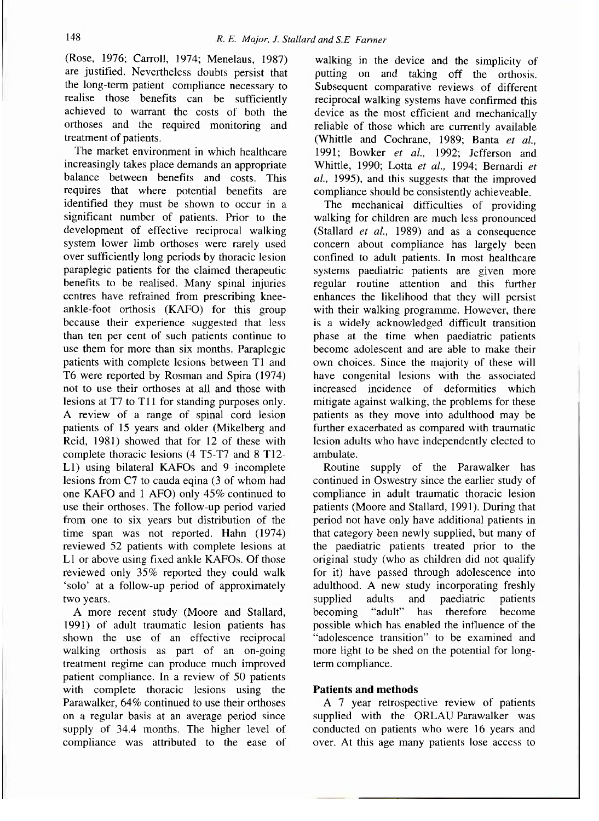(Rose, 1976; Carroll, 1974; Menelaus, 1987) are justified. Nevertheless doubts persist that the long-term patient compliance necessary to realise those benefits can be sufficiently achieved to warrant the costs of both the orthoses and the required monitoring and treatment of patients.

The market environment in which healthcare increasingly takes place demands an appropriate balance between benefits and costs. This requires that where potential benefits are identified they must be shown to occur in a significant number of patients. Prior to the development of effective reciprocal walking system lower limb orthoses were rarely used over sufficiently long periods by thoracic lesion paraplegic patients for the claimed therapeutic benefits to be realised. Many spinal injuries centres have refrained from prescribing kneeankle-foot orthosis (KAFO) for this group because their experience suggested that less than ten per cent of such patients continue to use them for more than six months. Paraplegic patients with complete lesions between Tl and T6 were reported by Rosman and Spira (1974) not to use their orthoses at all and those with lesions at T7 to T11 for standing purposes only. A review of a range of spinal cord lesion patients of 15 years and older (Mikelberg and Reid, 1981) showed that for 12 of these with complete thoracic lesions (4 T5-T7 and 8 T12- L1) using bilateral KAFOs and 9 incomplete lesions from C7 to cauda eqina (3 of whom had one KAFO and 1 AFO) only 45% continued to use their orthoses. The follow-up period varied from one to six years but distribution of the time span was not reported. Hahn (1974) reviewed 52 patients with complete lesions at L1 or above using fixed ankle KAFOs. Of those reviewed only 35% reported they could walk 'solo' at a follow-up period of approximately two years.

A more recent study (Moore and Stallard, 1991) of adult traumatic lesion patients has shown the use of an effective reciprocal walking orthosis as part of an on-going treatment regime can produce much improved patient compliance. In a review of 50 patients with complete thoracic lesions using the Parawalker, 64% continued to use their orthoses on a regular basis at an average period since supply of 34.4 months. The higher level of compliance was attributed to the ease of

walking in the device and the simplicity of putting on and taking off the orthosis. Subsequent comparative reviews of different reciprocal walking systems have confirmed this device as the most efficient and mechanically reliable of those which are currently available (Whittle and Cochrane, 1989; Banta *et al.,*  1991; Bowker *et al.,* 1992; Jefferson and Whittle, 1990; Lotta *et al.,* 1994; Bernardi *et al.,* 1995), and this suggests that the improved compliance should be consistently achieveable.

The mechanical difficulties of providing walking for children are much less pronounced (Stallard *et al.,* 1989) and as a consequence concern about compliance has largely been confined to adult patients. In most healthcare systems paediatric patients are given more regular routine attention and this further enhances the likelihood that they will persist with their walking programme. However, there is a widely acknowledged difficult transition phase at the time when paediatric patients become adolescent and are able to make their own choices. Since the majority of these will have congenital lesions with the associated increased incidence of deformities which mitigate against walking, the problems for these patients as they move into adulthood may be further exacerbated as compared with traumatic lesion adults who have independently elected to ambulate.

Routine supply of the Parawalker has continued in Oswestry since the earlier study of compliance in adult traumatic thoracic lesion patients (Moore and Stallard, 1991). During that period not have only have additional patients in that category been newly supplied, but many of the paediatric patients treated prior to the original study (who as children did not qualify for it) have passed through adolescence into adulthood. A new study incorporating freshly supplied adults and paediatric patients becoming "adult" has therefore become possible which has enabled the influence of the "adolescence transition" to be examined and more light to be shed on the potential for longterm compliance.

# **Patients and methods**

A 7 year retrospective review of patients supplied with the ORLAU Parawalker was conducted on patients who were 16 years and over. At this age many patients lose access to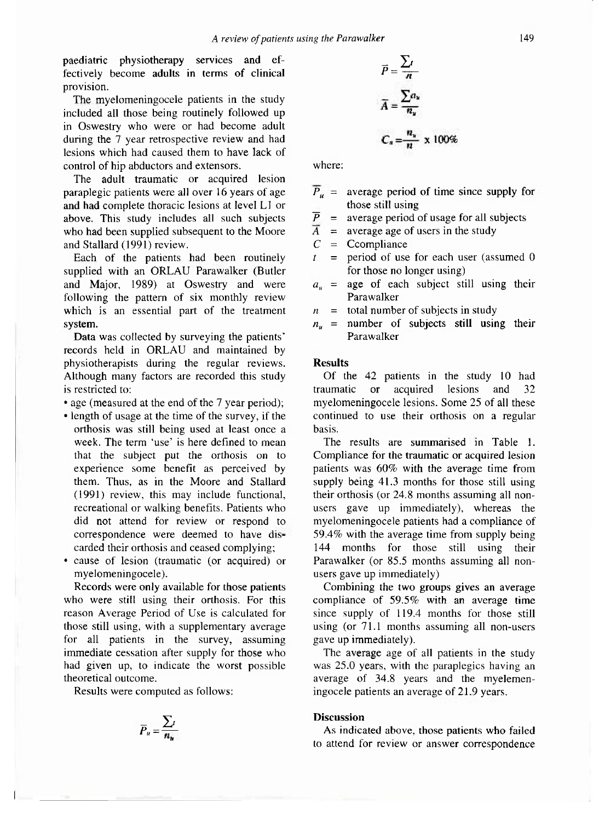paediatric physiotherapy services and effectively become adults in terms of clinical provision.

The myelomeningocele patients in the study included all those being routinely followed up in Oswestry who were or had become adult during the 7 year retrospective review and had lesions which had caused them to have lack of control of hip abductors and extensors.

The adult traumatic or acquired lesion paraplegic patients were all over 16 years of age and had complete thoracic lesions at level L1 or above. This study includes all such subjects who had been supplied subsequent to the Moore and Stallard (1991) review.

Each of the patients had been routinely supplied with an ORLAU Parawalker (Butler and Major, 1989) at Oswestry and were following the pattern of six monthly review which is an essential part of the treatment system.

Data was collected by surveying the patients' records held in ORLAU and maintained by physiotherapists during the regular reviews. Although many factors are recorded this study is restricted to:

• age (measured at the end of the 7 year period);

- length of usage at the time of the survey, if the orthosis was still being used at least once a week. The term 'use' is here defined to mean that the subject put the orthosis on to experience some benefit as perceived by them. Thus, as in the Moore and Stallard (1991) review, this may include functional, recreational or walking benefits. Patients who did not attend for review or respond to correspondence were deemed to have discarded their orthosis and ceased complying:
- cause of lesion (traumatic (or acquired) or myelomeningocele).

Records were only available for those patients who were still using their orthosis. For this reason Average Period of Use is calculated for those still using, with a supplementary average for all patients in the survey, assuming immediate cessation after supply for those who had given up, to indicate the worst possible theoretical outcome.

Results were computed as follows:

$$
\overline{P}_u = \frac{\sum_i}{n_n}
$$

$$
\overline{P} = \frac{\sum_{i}}{n}
$$
\n
$$
\overline{A} = \frac{\sum_{i} a_u}{n_u}
$$
\n
$$
C_u = \frac{n_u}{n} \times 100\%
$$

where:

- $\overline{P}_u$  = average period of time since supply for those still using
- $\overline{P}$  = average period of usage for all subjects
- $\overline{A}$  = average age of users in the study
- $C = \text{Compliance}$
- *t =* period of use for each user (assumed 0 for those no longer using)
- $a_u$  = age of each subject still using their Parawalker
- $n =$  total number of subjects in study
- *nu =* number of subjects still using their Parawalker

# **Results**

Of the 42 patients in the study 10 had traumatic or acquired lesions and 32 myelomeningocele lesions. Some 25 of all these continued to use their orthosis on a regular basis.

The results are summarised in Table 1. Compliance for the traumatic or acquired lesion patients was 60% with the average time from supply being 41.3 months for those still using their orthosis (or 24.8 months assuming all nonusers gave up immediately), whereas the myelomeningocele patients had a compliance of 59.4% with the average time from supply being 144 months for those still using their Parawalker (or 85.5 months assuming all nonusers gave up immediately)

Combining the two groups gives an average compliance of 59.5% with an average time since supply of 119.4 months for those still using (or 71.1 months assuming all non-users gave up immediately).

The average age of all patients in the study was 25.0 years, with the paraplegics having an average of 34.8 years and the myelemen-<br>ingocele patients an average of 21.9 years.

## **Discussion**

As indicated above, those patients who failed to attend for review or answer correspondence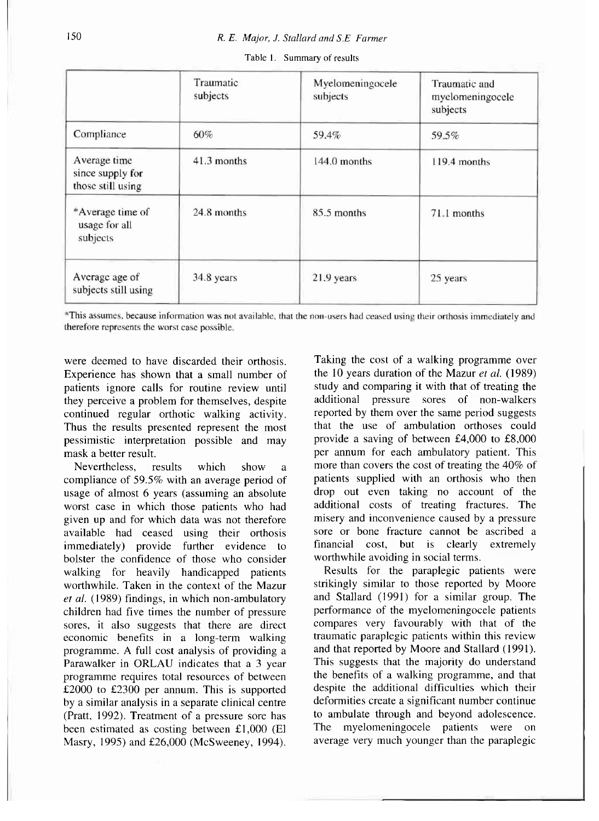|                                                       | Traumatic<br>subjects | Myelomeningocele<br>subjects | Traumatic and<br>myelomeningocele<br>subjects |
|-------------------------------------------------------|-----------------------|------------------------------|-----------------------------------------------|
| Compliance                                            | 60%                   | 59.4%                        | 59.5%                                         |
| Average time<br>since supply for<br>those still using | 41.3 months           | $144.0$ months               | 119.4 months                                  |
| *Average time of<br>usage for all<br>subjects         | 24.8 months           | 85.5 months                  | 71.1 months                                   |
| Average age of<br>subjects still using                | 34.8 years            | 21.9 years                   | 25 years                                      |

Table 1. Summary of results

\*This assumes, because information was not available, that the non-users had ceased using their orthosis immediately and therefore represents the worst case possible.

were deemed to have discarded their orthosis. Experience has shown that a small number of patients ignore calls for routine review until they perceive a problem for themselves, despite continued regular orthotic walking activity. Thus the results presented represent the most pessimistic interpretation possible and may mask a better result.

Nevertheless, results which show a compliance of 59.5% with an average period of usage of almost 6 years (assuming an absolute worst case in which those patients who had given up and for which data was not therefore available had ceased using their orthosis immediately) provide further evidence to bolster the confidence of those who consider walking for heavily handicapped patients worthwhile. Taken in the context of the Mazur *et al.* (1989) findings, in which non-ambulatory children had five times the number of pressure sores, it also suggests that there are direct economic benefits in a long-term walking programme. A full cost analysis of providing a Parawalker in ORLAU indicates that a 3 year programme requires total resources of between £2000 to £2300 per annum. This is supported by a similar analysis in a separate clinical centre (Pratt, 1992). Treatment of a pressure sore has been estimated as costing between £1,000 (El Masry, 1995) and £26,000 (McSweeney, 1994).

Taking the cost of a walking programme over the 10 years duration of the Mazur *et al.* (1989) study and comparing it with that of treating the additional pressure sores of non-walkers reported by them over the same period suggests that the use of ambulation orthoses could provide a saving of between £4,000 to £8,000 per annum for each ambulatory patient. This more than covers the cost of treating the 40% of patients supplied with an orthosis who then drop out even taking no account of the additional costs of treating fractures. The misery and inconvenience caused by a pressure sore or bone fracture cannot be ascribed a financial cost, but is clearly extremely worthwhile avoiding in social terms.

Results for the paraplegic patients were strikingly similar to those reported by Moore and Stallard (1991) for a similar group. The performance of the myelomeningocele patients compares very favourably with that of the traumatic paraplegic patients within this review and that reported by Moore and Stallard (1991). This suggests that the majority do understand the benefits of a walking programme, and that despite the additional difficulties which their deformities create a significant number continue to ambulate through and beyond adolescence. The myelomeningocele patients were on average very much younger than the paraplegic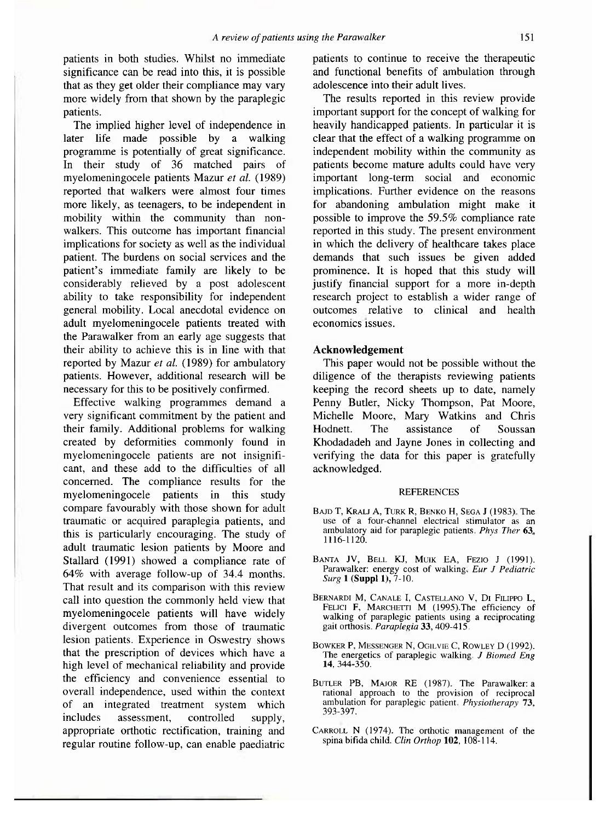patients in both studies. Whilst no immediate significance can be read into this, it is possible that as they get older their compliance may vary more widely from that shown by the paraplegic patients.

The implied higher level of independence in later life made possible by a walking programme is potentially of great significance. In their study of 36 matched pairs of myelomeningocele patients, Mazur *et al.* (1989) reported that walkers were almost four times more likely, as teenagers, to be independent in mobility within the community than nonwalkers. This outcome has important financial implications for society as well as the individual patient. The burdens on social services and the patient's immediate family are likely to be considerably relieved by a post adolescent ability to take responsibility for independent general mobility. Local anecdotal evidence on adult myelomeningocele patients treated with the Parawalker from an early age suggests that their ability to achieve this is in line with that reported by Mazur et al. (1989) for ambulatory patients. However, additional research will be necessary for this to be positively confirmed.

Effective walking programmes demand a very significant commitment by the patient and their family. Additional problems for walking created by deformities commonly found in myelomeningocele patients are not insignificant, and these add to the difficulties of all concerned. The compliance results for the myelomening ocele patients in this study compare favourably with those shown for adult traumatic or acquired paraplegia patients, and this is particularly encouraging. The study of adult traumatic lesion patients by Moore and Stallard (1991) showed a compliance rate of  $64\%$  with average follow-up of 34.4 months. That result and its comparison with this review call into question the commonly held view that myelomeningocele patients will have widely divergent outcomes from those of traumatic lesion patients. Experience in Oswestry shows that the prescription of devices which have a high level of mechanical reliability and provide the efficiency and convenience essential to overall independence, used within the context of an integrated treatment system which includes assessment, controlled supply, appropriate orthotic rectification, training and regular routine follow-up, can enable paediatric patients to continue to receive the therapeutic and functional benefits of ambulation through adolescence into their adult lives.

The results reported in this review provide important support for the concept of walking for heavily handicapped patients. In particular it is clear that the effect of a walking programme on independent mobility within the community as patients become mature adults could have very important long-term social and economic implications. Further evidence on the reasons for abandoning ambulation might make it possible to improve the 59.5% compliance rate reported in this study. The present environment in which the delivery of healthcare takes place demands that such issues be given added prominence. It is hoped that this study will justify financial support for a more in-depth research project to establish a wider range of outcomes relative to clinical and health economics issues.

### **Acknowledgement**

This paper would not be possible without the diligence of the therapists reviewing patients keeping the record sheets up to date, namely Penny Butler, Nicky Thompson, Pat Moore, Michelle Moore, Mary Watkins and Chris Hodnett. The assistance of Soussan Khodadadeh and Jayne Jones in collecting and verifying the data for this paper is gratefully acknowledged.

#### **REFERENCES**

- BAJD T, KRALJ A, TURK R, BENKO H, SEGA J (1983). The use of a four-channel electrical stimulator as an ambulatory aid for paraplegic patients. Phys Ther 63. 1116-1120.
- BANTA JV, BELL KJ, MUIK EA, FEZIO J (1991). Parawalker: energy cost of walking. Eur J Pediatric *Surg* **1 (Suppl 1**),7-10.
- BERNARDI M, CANALE I, CASTELLANO V, DI FILIPPO L, FELICI F, MARCHETTI M (1995). The efficiency of walking of paraplegic patients using a reciprocating gait orthosis. *Paraplegia* 33 , 409-415.
- BOWKER P, MESSENGER N, OGILVIE C, ROWLEY D (1992). The energetics of paraplegic walking. *J Biomed Eng*  **14,** 344-350.
- BUTLER PB, MAJOR RE (1987). The Parawalker: a rational approach to the provision of reciprocal ambulation for paraplegic patient. *Physiotherapy* 73 , 393-397.
- CARROLL N (1974). The orthotic management of the spina bifida child. *Clin Orthop* **102,** 108-114.